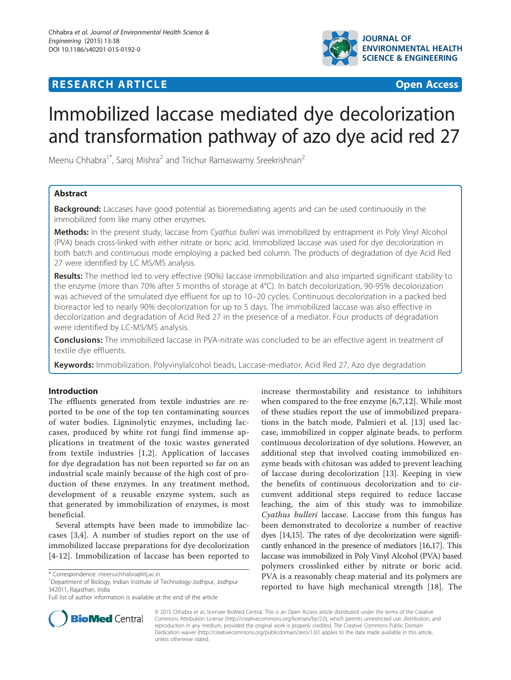## **RESEARCH ARTICLE Example 2014 CONSUMING A RESEARCH ARTICLE**



# Immobilized laccase mediated dye decolorization and transformation pathway of azo dye acid red 27

Meenu Chhabra<sup>1\*</sup>, Saroj Mishra<sup>2</sup> and Trichur Ramaswamy Sreekrishnan<sup>2</sup>

## Abstract

**Background:** Laccases have good potential as bioremediating agents and can be used continuously in the immobilized form like many other enzymes.

Methods: In the present study, laccase from Cyathus bulleri was immobilized by entrapment in Poly Vinyl Alcohol (PVA) beads cross-linked with either nitrate or boric acid. Immobilized laccase was used for dye decolorization in both batch and continuous mode employing a packed bed column. The products of degradation of dye Acid Red 27 were identified by LC MS/MS analysis.

Results: The method led to very effective (90%) laccase immobilization and also imparted significant stability to the enzyme (more than 70% after 5 months of storage at 4°C). In batch decolorization, 90-95% decolorization was achieved of the simulated dye effluent for up to 10–20 cycles. Continuous decolorization in a packed bed bioreactor led to nearly 90% decolorization for up to 5 days. The immobilized laccase was also effective in decolorization and degradation of Acid Red 27 in the presence of a mediator. Four products of degradation were identified by LC-MS/MS analysis.

**Conclusions:** The immobilized laccase in PVA-nitrate was concluded to be an effective agent in treatment of textile dye effluents.

Keywords: Immobilization, Polyvinylalcohol beads, Laccase-mediator, Acid Red 27, Azo dye degradation

## Introduction

The effluents generated from textile industries are reported to be one of the top ten contaminating sources of water bodies. Ligninolytic enzymes, including laccases, produced by white rot fungi find immense applications in treatment of the toxic wastes generated from textile industries [[1,2](#page-7-0)]. Application of laccases for dye degradation has not been reported so far on an industrial scale mainly because of the high cost of production of these enzymes. In any treatment method, development of a reusable enzyme system, such as that generated by immobilization of enzymes, is most beneficial.

Several attempts have been made to immobilize laccases [[3,4\]](#page-7-0). A number of studies report on the use of immobilized laccase preparations for dye decolorization [[4-12\]](#page-7-0). Immobilization of laccase has been reported to

<sup>1</sup>Department of Biology, Indian Institute of Technology-Jodhpur, Jodhpur 342011, Rajasthan, India

increase thermostability and resistance to inhibitors when compared to the free enzyme [\[6](#page-7-0),[7,12\]](#page-7-0). While most of these studies report the use of immobilized preparations in the batch mode, Palmieri et al. [[13\]](#page-7-0) used laccase, immobilized in copper alginate beads, to perform continuous decolorization of dye solutions. However, an additional step that involved coating immobilized enzyme beads with chitosan was added to prevent leaching of laccase during decolorization [\[13](#page-7-0)]. Keeping in view the benefits of continuous decolorization and to circumvent additional steps required to reduce laccase leaching, the aim of this study was to immobilize Cyathus bulleri laccase. Laccase from this fungus has been demonstrated to decolorize a number of reactive dyes [[14,15\]](#page-7-0). The rates of dye decolorization were significantly enhanced in the presence of mediators [\[16,17\]](#page-7-0). This laccase was immobilized in Poly Vinyl Alcohol (PVA) based polymers crosslinked either by nitrate or boric acid. PVA is a reasonably cheap material and its polymers are reported to have high mechanical strength [[18\]](#page-7-0). The



© 2015 Chhabra et al.; licensee BioMed Central. This is an Open Access article distributed under the terms of the Creative Commons Attribution License [\(http://creativecommons.org/licenses/by/2.0\)](http://creativecommons.org/licenses/by/2.0), which permits unrestricted use, distribution, and reproduction in any medium, provided the original work is properly credited. The Creative Commons Public Domain Dedication waiver [\(http://creativecommons.org/publicdomain/zero/1.0/](http://creativecommons.org/publicdomain/zero/1.0/)) applies to the data made available in this article, unless otherwise stated.

<sup>\*</sup> Correspondence: [meenuchhabra@iitj.ac.in](mailto:meenuchhabra@iitj.ac.in)

Full list of author information is available at the end of the article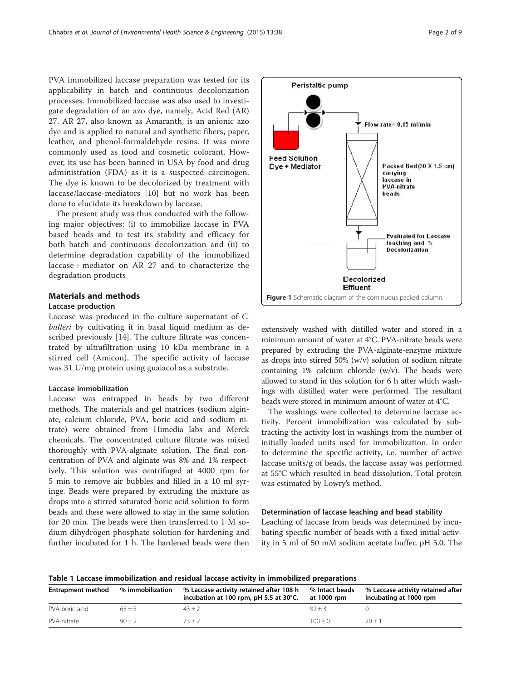<span id="page-1-0"></span>PVA immobilized laccase preparation was tested for its applicability in batch and continuous decolorization processes. Immobilized laccase was also used to investigate degradation of an azo dye, namely, Acid Red (AR) 27. AR 27, also known as Amaranth, is an anionic azo dye and is applied to natural and synthetic fibers, paper, leather, and phenol-formaldehyde resins. It was more commonly used as food and cosmetic colorant. However, its use has been banned in USA by food and drug administration (FDA) as it is a suspected carcinogen. The dye is known to be decolorized by treatment with laccase/laccase-mediators [[10](#page-7-0)] but no work has been done to elucidate its breakdown by laccase.

The present study was thus conducted with the following major objectives: (i) to immobilize laccase in PVA based beads and to test its stability and efficacy for both batch and continuous decolorization and (ii) to determine degradation capability of the immobilized laccase + mediator on AR 27 and to characterize the degradation products

## Materials and methods

#### Laccase production

Laccase was produced in the culture supernatant of C. bulleri by cultivating it in basal liquid medium as described previously [[14\]](#page-7-0). The culture filtrate was concentrated by ultrafiltration using 10 kDa membrane in a stirred cell (Amicon). The specific activity of laccase was 31 U/mg protein using guaiacol as a substrate.

#### Laccase immobilization

Laccase was entrapped in beads by two different methods. The materials and gel matrices (sodium alginate, calcium chloride, PVA, boric acid and sodium nitrate) were obtained from Himedia labs and Merck chemicals. The concentrated culture filtrate was mixed thoroughly with PVA-alginate solution. The final concentration of PVA and alginate was 8% and 1% respectively. This solution was centrifuged at 4000 rpm for 5 min to remove air bubbles and filled in a 10 ml syringe. Beads were prepared by extruding the mixture as drops into a stirred saturated boric acid solution to form beads and these were allowed to stay in the same solution for 20 min. The beads were then transferred to 1 M sodium dihydrogen phosphate solution for hardening and further incubated for 1 h. The hardened beads were then



extensively washed with distilled water and stored in a minimum amount of water at 4°C. PVA-nitrate beads were prepared by extruding the PVA-alginate-enzyme mixture as drops into stirred 50% (w/v) solution of sodium nitrate containing 1% calcium chloride (w/v). The beads were allowed to stand in this solution for 6 h after which washings with distilled water were performed. The resultant beads were stored in minimum amount of water at 4°C.

The washings were collected to determine laccase activity. Percent immobilization was calculated by subtracting the activity lost in washings from the number of initially loaded units used for immobilization. In order to determine the specific activity, i.e. number of active laccase units/g of beads, the laccase assay was performed at 55°C which resulted in bead dissolution. Total protein was estimated by Lowry's method.

#### Determination of laccase leaching and bead stability

Leaching of laccase from beads was determined by incubating specific number of beads with a fixed initial activity in 5 ml of 50 mM sodium acetate buffer, pH 5.0. The

Table 1 Laccase immobilization and residual laccase activity in immobilized preparations

| <b>Entrapment method</b> | % immobilization | % Laccase activity retained after 108 h<br>incubation at 100 rpm, pH 5.5 at 30°C. | % Intact beads<br>at 1000 rpm | % Laccase activity retained after<br>incubating at 1000 rpm |
|--------------------------|------------------|-----------------------------------------------------------------------------------|-------------------------------|-------------------------------------------------------------|
| PVA-boric acid           | $65 + 5$         | $43 + 2$                                                                          | $92 + 3$                      |                                                             |
| PVA-nitrate              | $90 + 2$         | $73 + 2$                                                                          | $100 + 0$                     | $20 + 1$                                                    |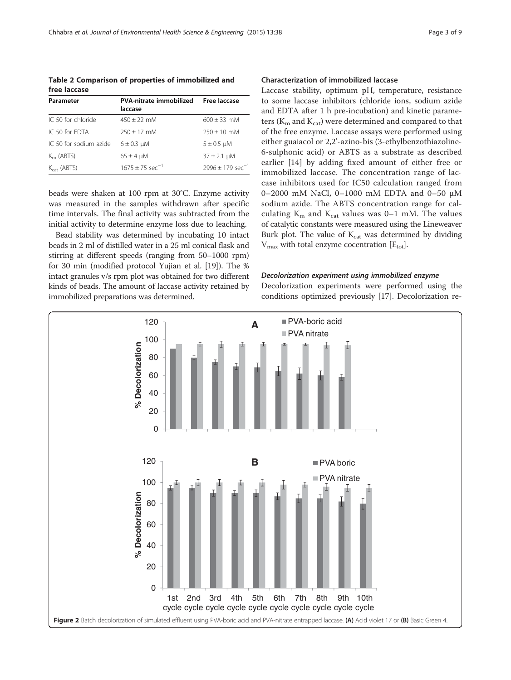<span id="page-2-0"></span>Table 2 Comparison of properties of immobilized and free laccase

| Parameter               | <b>PVA-nitrate immobilized</b><br>laccase | Free laccase                   |
|-------------------------|-------------------------------------------|--------------------------------|
| IC 50 for chloride      | $450 + 22$ mM                             | $600 + 33$ mM                  |
| IC 50 for FDTA          | $250 + 17$ mM                             | $250 + 10$ mM                  |
| IC 50 for sodium azide  | $6 \pm 0.3$ µM                            | $5 \pm 0.5$ µM                 |
| $Km$ (ABTS)             | $65 \pm 4$ µM                             | $37 \pm 2.1 \mu M$             |
| $K_{\text{cat}}$ (ABTS) | $1675 + 75$ sec <sup>-1</sup>             | $2996 + 179$ sec <sup>-1</sup> |

beads were shaken at 100 rpm at 30°C. Enzyme activity was measured in the samples withdrawn after specific time intervals. The final activity was subtracted from the initial activity to determine enzyme loss due to leaching.

Bead stability was determined by incubating 10 intact beads in 2 ml of distilled water in a 25 ml conical flask and stirring at different speeds (ranging from 50–1000 rpm) for 30 min (modified protocol Yujian et al. [\[19\]](#page-7-0)). The % intact granules v/s rpm plot was obtained for two different kinds of beads. The amount of laccase activity retained by immobilized preparations was determined.

## Characterization of immobilized laccase

Laccase stability, optimum pH, temperature, resistance to some laccase inhibitors (chloride ions, sodium azide and EDTA after 1 h pre-incubation) and kinetic parameters ( $K<sub>m</sub>$  and  $K<sub>cat</sub>$ ) were determined and compared to that of the free enzyme. Laccase assays were performed using either guaiacol or 2,2'-azino-bis (3-ethylbenzothiazoline-6-sulphonic acid) or ABTS as a substrate as described earlier [\[14](#page-7-0)] by adding fixed amount of either free or immobilized laccase. The concentration range of laccase inhibitors used for IC50 calculation ranged from 0–2000 mM NaCl, 0–1000 mM EDTA and 0–50 μM sodium azide. The ABTS concentration range for calculating  $K_m$  and  $K_{cat}$  values was 0-1 mM. The values of catalytic constants were measured using the Lineweaver Burk plot. The value of K<sub>cat</sub> was determined by dividing  $V_{\text{max}}$  with total enzyme cocentration  $[E_{\text{tot}}]$ .

#### Decolorization experiment using immobilized enzyme

Decolorization experiments were performed using the conditions optimized previously [\[17\]](#page-7-0). Decolorization re-

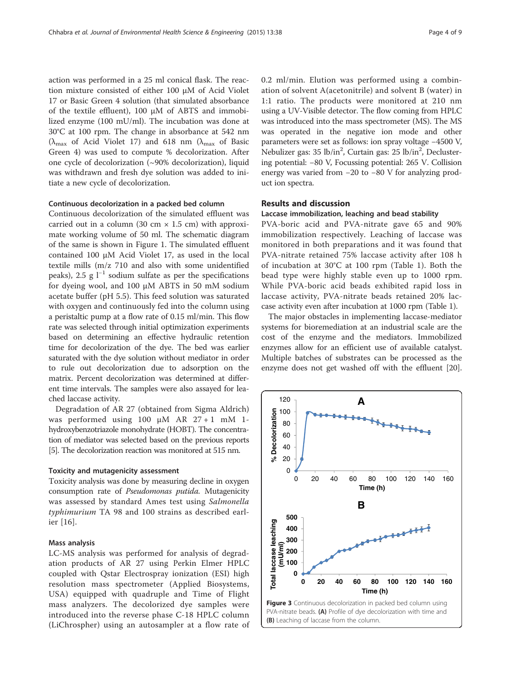<span id="page-3-0"></span>action was performed in a 25 ml conical flask. The reaction mixture consisted of either 100 μM of Acid Violet 17 or Basic Green 4 solution (that simulated absorbance of the textile effluent), 100 μM of ABTS and immobilized enzyme (100 mU/ml). The incubation was done at 30°C at 100 rpm. The change in absorbance at 542 nm ( $\lambda_{\text{max}}$  of Acid Violet 17) and 618 nm ( $\lambda_{\text{max}}$  of Basic Green 4) was used to compute % decolorization. After one cycle of decolorization (~90% decolorization), liquid was withdrawn and fresh dye solution was added to initiate a new cycle of decolorization.

## Continuous decolorization in a packed bed column

Continuous decolorization of the simulated effluent was carried out in a column (30 cm  $\times$  1.5 cm) with approximate working volume of 50 ml. The schematic diagram of the same is shown in Figure [1](#page-1-0). The simulated effluent contained 100 μM Acid Violet 17, as used in the local textile mills (m/z 710 and also with some unidentified peaks), 2.5 g  $l^{-1}$  sodium sulfate as per the specifications for dyeing wool, and 100 μM ABTS in 50 mM sodium acetate buffer (pH 5.5). This feed solution was saturated with oxygen and continuously fed into the column using a peristaltic pump at a flow rate of 0.15 ml/min. This flow rate was selected through initial optimization experiments based on determining an effective hydraulic retention time for decolorization of the dye. The bed was earlier saturated with the dye solution without mediator in order to rule out decolorization due to adsorption on the matrix. Percent decolorization was determined at different time intervals. The samples were also assayed for leached laccase activity.

Degradation of AR 27 (obtained from Sigma Aldrich) was performed using 100  $\mu$ M AR 27 + 1 mM 1hydroxybenzotriazole monohydrate (HOBT). The concentration of mediator was selected based on the previous reports [[5](#page-7-0)]. The decolorization reaction was monitored at 515 nm.

## Toxicity and mutagenicity assessment

Toxicity analysis was done by measuring decline in oxygen consumption rate of Pseudomonas putida. Mutagenicity was assessed by standard Ames test using Salmonella typhimurium TA 98 and 100 strains as described earlier [[16](#page-7-0)].

## Mass analysis

LC-MS analysis was performed for analysis of degradation products of AR 27 using Perkin Elmer HPLC coupled with Qstar Electrospray ionization (ESI) high resolution mass spectrometer (Applied Biosystems, USA) equipped with quadruple and Time of Flight mass analyzers. The decolorized dye samples were introduced into the reverse phase C-18 HPLC column (LiChrospher) using an autosampler at a flow rate of 0.2 ml/min. Elution was performed using a combination of solvent A(acetonitrile) and solvent B (water) in 1:1 ratio. The products were monitored at 210 nm using a UV-Visible detector. The flow coming from HPLC was introduced into the mass spectrometer (MS). The MS was operated in the negative ion mode and other parameters were set as follows: ion spray voltage −4500 V, Nebulizer gas: 35 lb/in<sup>2</sup>, Curtain gas: 25 lb/in<sup>2</sup>, Declustering potential: −80 V, Focussing potential: 265 V. Collision energy was varied from −20 to −80 V for analyzing product ion spectra.

## Results and discussion

#### Laccase immobilization, leaching and bead stability

PVA-boric acid and PVA-nitrate gave 65 and 90% immobilization respectively. Leaching of laccase was monitored in both preparations and it was found that PVA-nitrate retained 75% laccase activity after 108 h of incubation at 30°C at 100 rpm (Table [1](#page-1-0)). Both the bead type were highly stable even up to 1000 rpm. While PVA-boric acid beads exhibited rapid loss in laccase activity, PVA-nitrate beads retained 20% laccase activity even after incubation at 1000 rpm (Table [1](#page-1-0)).

The major obstacles in implementing laccase-mediator systems for bioremediation at an industrial scale are the cost of the enzyme and the mediators. Immobilized enzymes allow for an efficient use of available catalyst. Multiple batches of substrates can be processed as the enzyme does not get washed off with the effluent [\[20](#page-7-0)].

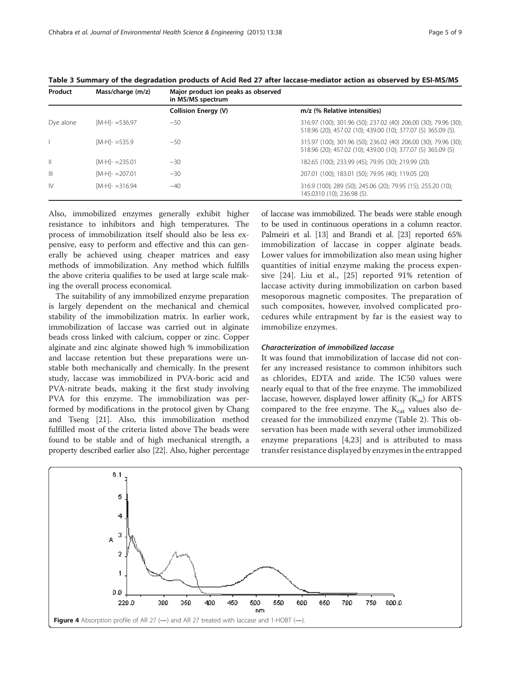| Product      | Mass/charge (m/z)  | Major product ion peaks as observed<br>in MS/MS spectrum |                                                                                                                                  |
|--------------|--------------------|----------------------------------------------------------|----------------------------------------------------------------------------------------------------------------------------------|
|              |                    | <b>Collision Energy (V)</b>                              | m/z (% Relative intensities)                                                                                                     |
| Dye alone    | $[M-H]$ - =536.97  | $-50$                                                    | 316.97 (100); 301.96 (50); 237.02 (40) 206.00 (30); 79.96 (30);<br>518.96 (20); 457.02 (10); 439.00 (10); 377.07 (5) 365.09 (5). |
|              | $[M-H]-=535.9$     | $-50$                                                    | 315.97 (100); 301.96 (50); 236.02 (40) 206.00 (30); 79.96 (30);<br>518.96 (20); 457.02 (10); 439.00 (10); 377.07 (5) 365.09 (5)  |
| $\mathbb{I}$ | $[M-H]$ - = 235.01 | $-30$                                                    | 182.65 (100); 233.99 (45); 79.95 (30); 219.99 (20).                                                                              |
| $\mathbb{H}$ | $[M-H]-207.01$     | $-30$                                                    | 207.01 (100); 183.01 (50); 79.95 (40); 119.05 (20)                                                                               |
| <b>IV</b>    | $[M-H]$ - =316.94  | $-40$                                                    | 316.9 (100); 289 (50); 245.06 (20); 79.95 (15); 255.20 (10);<br>145.0310 (10); 236.98 (5).                                       |

<span id="page-4-0"></span>Table 3 Summary of the degradation products of Acid Red 27 after laccase-mediator action as observed by ESI-MS/MS

Also, immobilized enzymes generally exhibit higher resistance to inhibitors and high temperatures. The process of immobilization itself should also be less expensive, easy to perform and effective and this can generally be achieved using cheaper matrices and easy methods of immobilization. Any method which fulfills the above criteria qualifies to be used at large scale making the overall process economical.

The suitability of any immobilized enzyme preparation is largely dependent on the mechanical and chemical stability of the immobilization matrix. In earlier work, immobilization of laccase was carried out in alginate beads cross linked with calcium, copper or zinc. Copper alginate and zinc alginate showed high % immobilization and laccase retention but these preparations were unstable both mechanically and chemically. In the present study, laccase was immobilized in PVA-boric acid and PVA-nitrate beads, making it the first study involving PVA for this enzyme. The immobilization was performed by modifications in the protocol given by Chang and Tseng [[21\]](#page-7-0). Also, this immobilization method fulfilled most of the criteria listed above The beads were found to be stable and of high mechanical strength, a property described earlier also [[22](#page-7-0)]. Also, higher percentage

of laccase was immobilized. The beads were stable enough to be used in continuous operations in a column reactor. Palmeiri et al. [[13\]](#page-7-0) and Brandi et al. [[23](#page-8-0)] reported 65% immobilization of laccase in copper alginate beads. Lower values for immobilization also mean using higher quantities of initial enzyme making the process expensive [\[24](#page-8-0)]. Liu et al., [[25\]](#page-8-0) reported 91% retention of laccase activity during immobilization on carbon based mesoporous magnetic composites. The preparation of such composites, however, involved complicated procedures while entrapment by far is the easiest way to immobilize enzymes.

## Characterization of immobilized laccase

It was found that immobilization of laccase did not confer any increased resistance to common inhibitors such as chlorides, EDTA and azide. The IC50 values were nearly equal to that of the free enzyme. The immobilized laccase, however, displayed lower affinity  $(K<sub>m</sub>)$  for ABTS compared to the free enzyme. The  $K_{cat}$  values also decreased for the immobilized enzyme (Table [2](#page-2-0)). This observation has been made with several other immobilized enzyme preparations [[4,](#page-7-0)[23\]](#page-8-0) and is attributed to mass transfer resistance displayed by enzymes in the entrapped

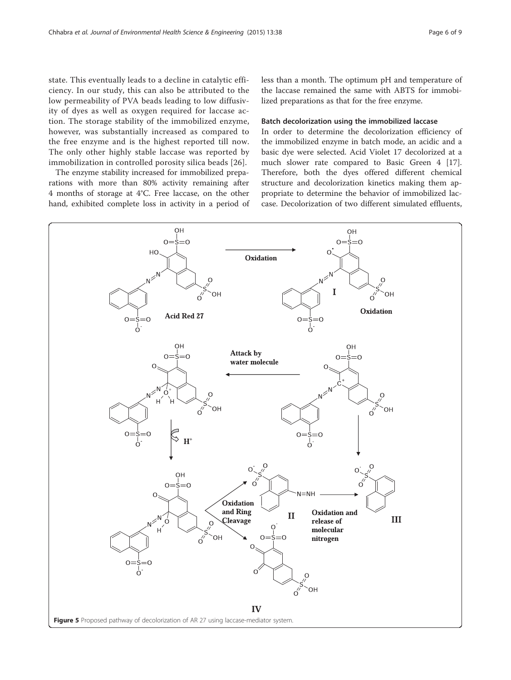<span id="page-5-0"></span>state. This eventually leads to a decline in catalytic efficiency. In our study, this can also be attributed to the low permeability of PVA beads leading to low diffusivity of dyes as well as oxygen required for laccase action. The storage stability of the immobilized enzyme, however, was substantially increased as compared to the free enzyme and is the highest reported till now. The only other highly stable laccase was reported by immobilization in controlled porosity silica beads [[26](#page-8-0)].

The enzyme stability increased for immobilized preparations with more than 80% activity remaining after 4 months of storage at 4°C. Free laccase, on the other hand, exhibited complete loss in activity in a period of less than a month. The optimum pH and temperature of the laccase remained the same with ABTS for immobilized preparations as that for the free enzyme.

#### Batch decolorization using the immobilized laccase

In order to determine the decolorization efficiency of the immobilized enzyme in batch mode, an acidic and a basic dye were selected. Acid Violet 17 decolorized at a much slower rate compared to Basic Green 4 [\[17](#page-7-0)]. Therefore, both the dyes offered different chemical structure and decolorization kinetics making them appropriate to determine the behavior of immobilized laccase. Decolorization of two different simulated effluents,

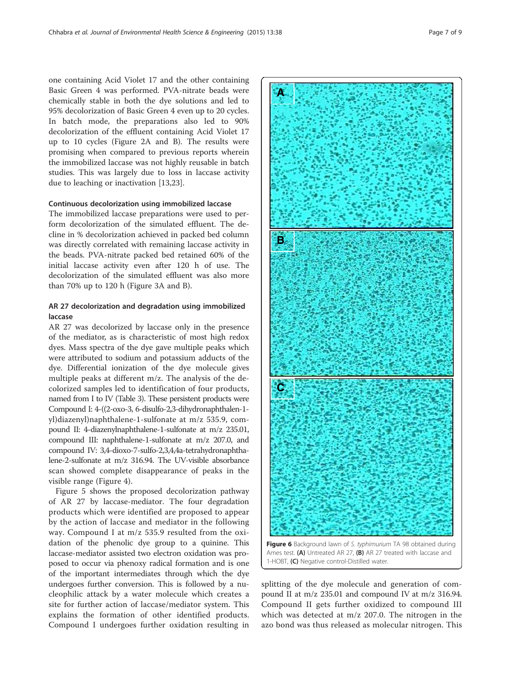<span id="page-6-0"></span>one containing Acid Violet 17 and the other containing Basic Green 4 was performed. PVA-nitrate beads were chemically stable in both the dye solutions and led to 95% decolorization of Basic Green 4 even up to 20 cycles. In batch mode, the preparations also led to 90% decolorization of the effluent containing Acid Violet 17 up to 10 cycles (Figure [2](#page-2-0)A and B). The results were promising when compared to previous reports wherein the immobilized laccase was not highly reusable in batch studies. This was largely due to loss in laccase activity due to leaching or inactivation [[13,](#page-7-0)[23\]](#page-8-0).

#### Continuous decolorization using immobilized laccase

The immobilized laccase preparations were used to perform decolorization of the simulated effluent. The decline in % decolorization achieved in packed bed column was directly correlated with remaining laccase activity in the beads. PVA-nitrate packed bed retained 60% of the initial laccase activity even after 120 h of use. The decolorization of the simulated effluent was also more than 70% up to 120 h (Figure [3A](#page-3-0) and B).

**B** 

**C**

**A**

## AR 27 decolorization and degradation using immobilized laccase

AR 27 was decolorized by laccase only in the presence of the mediator, as is characteristic of most high redox dyes. Mass spectra of the dye gave multiple peaks which were attributed to sodium and potassium adducts of the dye. Differential ionization of the dye molecule gives multiple peaks at different m/z. The analysis of the decolorized samples led to identification of four products, named from I to IV (Table [3\)](#page-4-0). These persistent products were Compound I: 4-((2-oxo-3, 6-disulfo-2,3-dihydronaphthalen-1 yl)diazenyl)naphthalene-1-sulfonate at m/z 535.9, compound II: 4-diazenylnaphthalene-1-sulfonate at m/z 235.01, compound III: naphthalene-1-sulfonate at m/z 207.0, and compound IV: 3,4-dioxo-7-sulfo-2,3,4,4a-tetrahydronaphthalene-2-sulfonate at m/z 316.94. The UV-visible absorbance scan showed complete disappearance of peaks in the visible range (Figure [4](#page-4-0)).

Figure [5](#page-5-0) shows the proposed decolorization pathway of AR 27 by laccase-mediator. The four degradation products which were identified are proposed to appear by the action of laccase and mediator in the following way. Compound I at m/z 535.9 resulted from the oxidation of the phenolic dye group to a quinine. This laccase-mediator assisted two electron oxidation was proposed to occur via phenoxy radical formation and is one of the important intermediates through which the dye undergoes further conversion. This is followed by a nucleophilic attack by a water molecule which creates a site for further action of laccase/mediator system. This explains the formation of other identified products. Compound I undergoes further oxidation resulting in



Figure 6 Background lawn of S. typhimurium TA 98 obtained during Ames test. (A) Untreated AR 27, (B) AR 27 treated with laccase and 1-HOBT, (C) Negative control-Distilled water.

splitting of the dye molecule and generation of compound II at m/z 235.01 and compound IV at m/z 316.94. Compound II gets further oxidized to compound III which was detected at m/z 207.0. The nitrogen in the azo bond was thus released as molecular nitrogen. This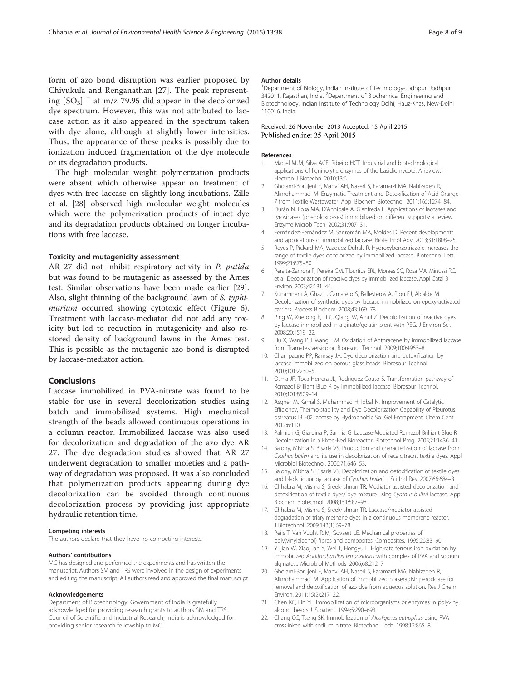<span id="page-7-0"></span>form of azo bond disruption was earlier proposed by Chivukula and Renganathan [\[27\]](#page-8-0). The peak representing  $[SO_3]$   $\overline{\phantom{a}}$  at m/z 79.95 did appear in the decolorized dye spectrum. However, this was not attributed to laccase action as it also appeared in the spectrum taken with dye alone, although at slightly lower intensities. Thus, the appearance of these peaks is possibly due to ionization induced fragmentation of the dye molecule or its degradation products.

The high molecular weight polymerization products were absent which otherwise appear on treatment of dyes with free laccase on slightly long incubations. Zille et al. [\[28](#page-8-0)] observed high molecular weight molecules which were the polymerization products of intact dye and its degradation products obtained on longer incubations with free laccase.

## Toxicity and mutagenicity assessment

AR 27 did not inhibit respiratory activity in P. putida but was found to be mutagenic as assessed by the Ames test. Similar observations have been made earlier [\[29](#page-8-0)]. Also, slight thinning of the background lawn of S. typhi-murium occurred showing cytotoxic effect (Figure [6](#page-6-0)). Treatment with laccase-mediator did not add any toxicity but led to reduction in mutagenicity and also restored density of background lawns in the Ames test. This is possible as the mutagenic azo bond is disrupted by laccase-mediator action.

#### Conclusions

Laccase immobilized in PVA-nitrate was found to be stable for use in several decolorization studies using batch and immobilized systems. High mechanical strength of the beads allowed continuous operations in a column reactor. Immobilized laccase was also used for decolorization and degradation of the azo dye AR 27. The dye degradation studies showed that AR 27 underwent degradation to smaller moieties and a pathway of degradation was proposed. It was also concluded that polymerization products appearing during dye decolorization can be avoided through continuous decolorization process by providing just appropriate hydraulic retention time.

#### Competing interests

The authors declare that they have no competing interests.

#### Authors' contributions

MC has designed and performed the experiments and has written the manuscript. Authors SM and TRS were involved in the design of experiments and editing the manuscript. All authors read and approved the final manuscript.

#### Acknowledgements

Department of Biotechnology, Government of India is gratefully acknowledged for providing research grants to authors SM and TRS. Council of Scientific and Industrial Research, India is acknowledged for providing senior research fellowship to MC.

#### Author details

<sup>1</sup>Department of Biology, Indian Institute of Technology-Jodhpur, Jodhpur 342011, Rajasthan, India. <sup>2</sup>Department of Biochemical Engineering and Biotechnology, Indian Institute of Technology Delhi, Hauz-Khas, New-Delhi 110016, India.

#### Received: 26 November 2013 Accepted: 15 April 2015 Published online: 25 April 2015

#### References

- 1. Maciel MJM, Silva ACE, Ribeiro HCT. Industrial and biotechnological applications of ligninolytic enzymes of the basidiomycota: A review. Electron J Biotechn. 2010;13:6.
- 2. Gholami-Borujeni F, Mahvi AH, Naseri S, Faramarzi MA, Nabizadeh R, Alimohammadi M. Enzymatic Treatment and Detoxification of Acid Orange 7 from Textile Wastewater. Appl Biochem Biotechnol. 2011;165:1274–84.
- 3. Durán N, Rosa MA, D'Annibale A, Gianfreda L. Applications of laccases and tyrosinases (phenoloxidases) immobilized on different supports: a review. Enzyme Microb Tech. 2002;31:907–31.
- 4. Fernández-Fernández M, Sanromán MA, Moldes D. Recent developments and applications of immobilized laccase. Biotechnol Adv. 2013;31:1808–25.
- 5. Reyes P, Pickard MA, Vazquez-Duhalt R. Hydroxybenzotriazole increases the range of textile dyes decolorized by immobilized laccase. Biotechnol Lett. 1999;21:875–80.
- 6. Peralta-Zamora P, Pereira CM, Tiburtius ERL, Moraes SG, Rosa MA, Minussi RC, et al. Decolorization of reactive dyes by immobilized laccase. Appl Catal B Environ. 2003;42:131–44.
- 7. Kunamneni A, Ghazi I, Camarero S, Ballesteros A, Plou FJ, Alcalde M. Decolorization of synthetic dyes by laccase immobilized on epoxy-activated carriers. Process Biochem. 2008;43:169–78.
- 8. Ping W, Xuerong F, Li C, Qiang W, Aihui Z. Decolorization of reactive dyes by laccase immobilized in alginate/gelatin blent with PEG. J Environ Sci. 2008;20:1519–22.
- 9. Hu X, Wang P, Hwang HM. Oxidation of Anthracene by immobilized laccase from Tramates versicolor. Bioresour Technol. 2009;100:4963–8.
- 10. Champagne PP, Ramsay JA. Dye decolorization and detoxification by laccase immobilized on porous glass beads. Bioresour Technol. 2010;101:2230–5.
- 11. Osma JF, Toca-Herrera JL, Rodriquez-Couto S. Transformation pathway of Remazol Brilliant Blue R by immobilized laccase. Bioresour Technol. 2010;101:8509–14.
- 12. Asgher M, Kamal S, Muhammad H, Iqbal N. Improvement of Catalytic Efficiency, Thermo-stability and Dye Decolorization Capability of Pleurotus ostreatus IBL-02 laccase by Hydrophobic Sol Gel Entrapment. Chem Cent. 2012;6:110.
- 13. Palmieri G, Giardina P, Sannia G. Laccase-Mediated Remazol Brilliant Blue R Decolorization in a Fixed-Bed Bioreactor. Biotechnol Prog. 2005;21:1436–41.
- 14. Salony, Mishra S, Bisaria VS. Production and characterization of laccase from Cyathus bulleri and its use in decolorization of recalcitracnt textile dyes. Appl Microbiol Biotechnol. 2006;71:646–53.
- 15. Salony, Mishra S, Bisaria VS. Decolorization and detoxification of textile dyes and black liquor by laccase of Cyathus bulleri. J Sci Ind Res. 2007;66:684–8.
- 16. Chhabra M, Mishra S, Sreekrishnan TR. Mediator assisted decolorization and detoxification of textile dyes/ dye mixture using Cyathus bulleri laccase. Appl Biochem Biotechnol. 2008;151:587–98.
- 17. Chhabra M, Mishra S, Sreekrishnan TR. Laccase/mediator assisted degradation of triarylmethane dyes in a continuous membrane reactor. J Biotechnol. 2009;143(1):69–78.
- 18. Peijs T, Van Vught RJM, Govaert LE. Mechanical properties of poly(vinylalcohol) fibres and composites. Composites. 1995;26:83–90.
- 19. Yujian W, Xiaojuan Y, Wei T, Hongyu L. High-rate ferrous iron oxidation by immobilized Acidithiobacillus ferrooxidans with complex of PVA and sodium alginate. J Microbiol Methods. 2006;68:212–7.
- 20. Gholami-Borujeni F, Mahvi AH, Naseri S, Faramarzi MA, Nabizadeh R, Alimohammadi M. Application of immobilized horseradish peroxidase for removal and detoxification of azo dye from aqueous solution. Res J Chem Environ. 2011;15(2):217–22.
- 21. Chen KC, Lin YF. Immobilization of microorganisms or enzymes in polyvinyl alcohol beads. US patent. 1994;5:290–693.
- 22. Chang CC, Tseng SK. Immobilization of Alcaligenes eutrophus using PVA crosslinked with sodium nitrate. Biotechnol Tech. 1998;12:865–8.